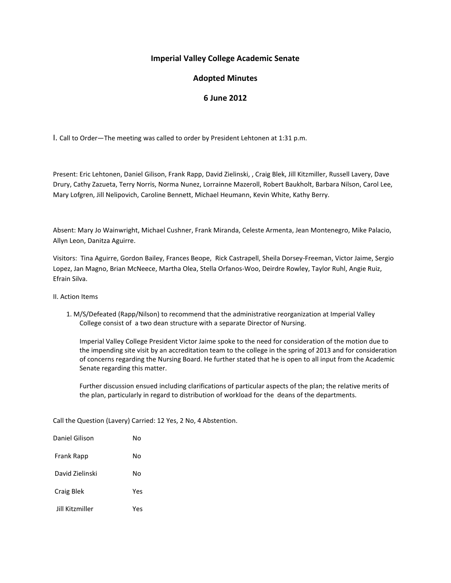## **Imperial Valley College Academic Senate**

# **Adopted Minutes**

### **6 June 2012**

I. Call to Order—The meeting was called to order by President Lehtonen at 1:31 p.m.

Present: Eric Lehtonen, Daniel Gilison, Frank Rapp, David Zielinski, , Craig Blek, Jill Kitzmiller, Russell Lavery, Dave Drury, Cathy Zazueta, Terry Norris, Norma Nunez, Lorrainne Mazeroll, Robert Baukholt, Barbara Nilson, Carol Lee, Mary Lofgren, Jill Nelipovich, Caroline Bennett, Michael Heumann, Kevin White, Kathy Berry.

Absent: Mary Jo Wainwright, Michael Cushner, Frank Miranda, Celeste Armenta, Jean Montenegro, Mike Palacio, Allyn Leon, Danitza Aguirre.

Visitors: Tina Aguirre, Gordon Bailey, Frances Beope, Rick Castrapell, Sheila Dorsey-Freeman, Victor Jaime, Sergio Lopez, Jan Magno, Brian McNeece, Martha Olea, Stella Orfanos-Woo, Deirdre Rowley, Taylor Ruhl, Angie Ruiz, Efrain Silva.

- II. Action Items
	- 1. M/S/Defeated (Rapp/Nilson) to recommend that the administrative reorganization at Imperial Valley College consist of a two dean structure with a separate Director of Nursing.

Imperial Valley College President Victor Jaime spoke to the need for consideration of the motion due to the impending site visit by an accreditation team to the college in the spring of 2013 and for consideration of concerns regarding the Nursing Board. He further stated that he is open to all input from the Academic Senate regarding this matter.

Further discussion ensued including clarifications of particular aspects of the plan; the relative merits of the plan, particularly in regard to distribution of workload for the deans of the departments.

Call the Question (Lavery) Carried: 12 Yes, 2 No, 4 Abstention.

| Daniel Gilison    | N٥  |
|-------------------|-----|
| <b>Frank Rapp</b> | N٥  |
| David Zielinski   | N٥  |
| Craig Blek        | Yes |
| Jill Kitzmiller   | Υρς |